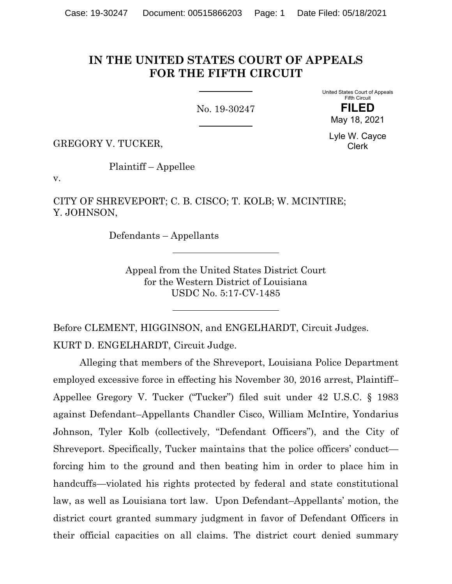## **IN THE UNITED STATES COURT OF APPEALS FOR THE FIFTH CIRCUIT**

No. 19-30247

United States Court of Appeals Fifth Circuit **FILED**

May 18, 2021

GREGORY V. TUCKER,

Lyle W. Cayce Clerk

Plaintiff – Appellee

v.

CITY OF SHREVEPORT; C. B. CISCO; T. KOLB; W. MCINTIRE; Y. JOHNSON,

Defendants – Appellants

Appeal from the United States District Court for the Western District of Louisiana USDC No. 5:17-CV-1485

Before CLEMENT, HIGGINSON, and ENGELHARDT, Circuit Judges. KURT D. ENGELHARDT, Circuit Judge.

Alleging that members of the Shreveport, Louisiana Police Department employed excessive force in effecting his November 30, 2016 arrest, Plaintiff– Appellee Gregory V. Tucker ("Tucker") filed suit under 42 U.S.C. § 1983 against Defendant–Appellants Chandler Cisco, William McIntire, Yondarius Johnson, Tyler Kolb (collectively, "Defendant Officers"), and the City of Shreveport. Specifically, Tucker maintains that the police officers' conduct forcing him to the ground and then beating him in order to place him in handcuffs—violated his rights protected by federal and state constitutional law, as well as Louisiana tort law. Upon Defendant–Appellants' motion, the district court granted summary judgment in favor of Defendant Officers in their official capacities on all claims. The district court denied summary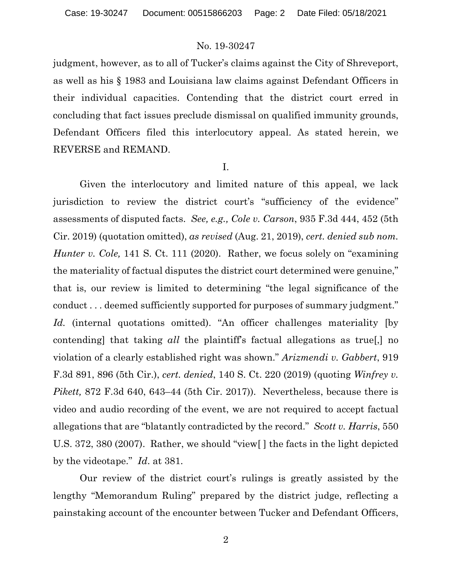judgment, however, as to all of Tucker's claims against the City of Shreveport, as well as his § 1983 and Louisiana law claims against Defendant Officers in their individual capacities. Contending that the district court erred in concluding that fact issues preclude dismissal on qualified immunity grounds, Defendant Officers filed this interlocutory appeal. As stated herein, we REVERSE and REMAND.

I.

Given the interlocutory and limited nature of this appeal, we lack jurisdiction to review the district court's "sufficiency of the evidence" assessments of disputed facts. *See, e.g., Cole v. Carson*, 935 F.3d 444, 452 (5th Cir. 2019) (quotation omitted), *as revised* (Aug. 21, 2019), *cert. denied sub nom. Hunter v. Cole,* 141 S. Ct. 111 (2020). Rather, we focus solely on "examining" the materiality of factual disputes the district court determined were genuine," that is, our review is limited to determining "the legal significance of the conduct . . . deemed sufficiently supported for purposes of summary judgment." Id. (internal quotations omitted). "An officer challenges materiality [by contending] that taking *all* the plaintiff's factual allegations as true[,] no violation of a clearly established right was shown." *Arizmendi v. Gabbert*, 919 F.3d 891, 896 (5th Cir.), *cert. denied*, 140 S. Ct. 220 (2019) (quoting *Winfrey v. Pikett,* 872 F.3d 640, 643–44 (5th Cir. 2017)). Nevertheless, because there is video and audio recording of the event, we are not required to accept factual allegations that are "blatantly contradicted by the record." *Scott v. Harris*, 550 U.S. 372, 380 (2007). Rather, we should "view[ ] the facts in the light depicted by the videotape." *Id*. at 381.

Our review of the district court's rulings is greatly assisted by the lengthy "Memorandum Ruling" prepared by the district judge, reflecting a painstaking account of the encounter between Tucker and Defendant Officers,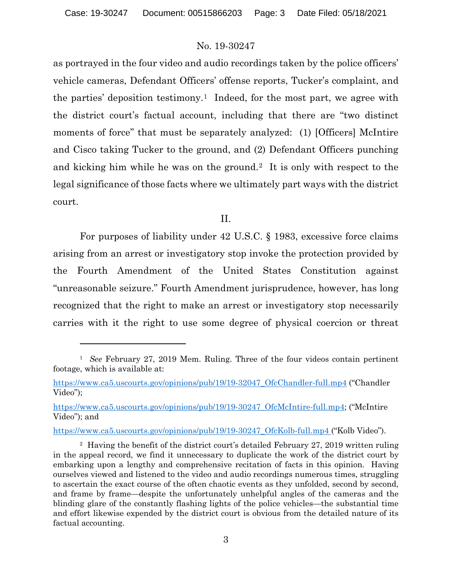as portrayed in the four video and audio recordings taken by the police officers' vehicle cameras, Defendant Officers' offense reports, Tucker's complaint, and the parties' deposition testimony.<sup>1</sup> Indeed, for the most part, we agree with the district court's factual account, including that there are "two distinct moments of force" that must be separately analyzed: (1) [Officers] McIntire and Cisco taking Tucker to the ground, and (2) Defendant Officers punching and kicking him while he was on the ground.<sup>2</sup> It is only with respect to the legal significance of those facts where we ultimately part ways with the district court.

II.

For purposes of liability under 42 U.S.C. § 1983, excessive force claims arising from an arrest or investigatory stop invoke the protection provided by the Fourth Amendment of the United States Constitution against "unreasonable seizure." Fourth Amendment jurisprudence, however, has long recognized that the right to make an arrest or investigatory stop necessarily carries with it the right to use some degree of physical coercion or threat

https://www.ca5.uscourts.gov/opinions/pub/19/19-30247\_OfcKolb-full.mp4 ("Kolb Video").

<sup>1</sup> *See* February 27, 2019 Mem. Ruling. Three of the four videos contain pertinent footage, which is available at:

https://www.ca5.uscourts.gov/opinions/pub/19/19-32047\_OfcChandler-full.mp4 ("Chandler Video");

https://www.ca5.uscourts.gov/opinions/pub/19/19-30247\_OfcMcIntire-full.mp4; ("McIntire Video"); and

<sup>&</sup>lt;sup>2</sup> Having the benefit of the district court's detailed February 27, 2019 written ruling in the appeal record, we find it unnecessary to duplicate the work of the district court by embarking upon a lengthy and comprehensive recitation of facts in this opinion. Having ourselves viewed and listened to the video and audio recordings numerous times, struggling to ascertain the exact course of the often chaotic events as they unfolded, second by second, and frame by frame—despite the unfortunately unhelpful angles of the cameras and the blinding glare of the constantly flashing lights of the police vehicles—the substantial time and effort likewise expended by the district court is obvious from the detailed nature of its factual accounting.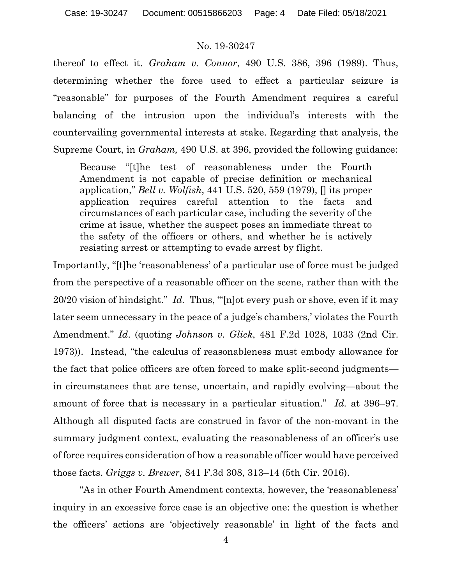thereof to effect it. *Graham v. Connor*, 490 U.S. 386, 396 (1989). Thus, determining whether the force used to effect a particular seizure is "reasonable" for purposes of the Fourth Amendment requires a careful balancing of the intrusion upon the individual's interests with the countervailing governmental interests at stake. Regarding that analysis, the Supreme Court, in *Graham,* 490 U.S. at 396, provided the following guidance:

Because "[t]he test of reasonableness under the Fourth Amendment is not capable of precise definition or mechanical application," *Bell v. Wolfish*, 441 U.S. 520, 559 (1979), [] its proper application requires careful attention to the facts and circumstances of each particular case, including the severity of the crime at issue, whether the suspect poses an immediate threat to the safety of the officers or others, and whether he is actively resisting arrest or attempting to evade arrest by flight.

Importantly, "[t]he 'reasonableness' of a particular use of force must be judged from the perspective of a reasonable officer on the scene, rather than with the 20/20 vision of hindsight." *Id.* Thus, "'[n]ot every push or shove, even if it may later seem unnecessary in the peace of a judge's chambers,' violates the Fourth Amendment." *Id*. (quoting *Johnson v. Glick*, 481 F.2d 1028, 1033 (2nd Cir. 1973)). Instead, "the calculus of reasonableness must embody allowance for the fact that police officers are often forced to make split-second judgments in circumstances that are tense, uncertain, and rapidly evolving—about the amount of force that is necessary in a particular situation." *Id.* at 396–97. Although all disputed facts are construed in favor of the non-movant in the summary judgment context, evaluating the reasonableness of an officer's use of force requires consideration of how a reasonable officer would have perceived those facts. *Griggs v. Brewer,* 841 F.3d 308, 313–14 (5th Cir. 2016).

"As in other Fourth Amendment contexts, however, the 'reasonableness' inquiry in an excessive force case is an objective one: the question is whether the officers' actions are 'objectively reasonable' in light of the facts and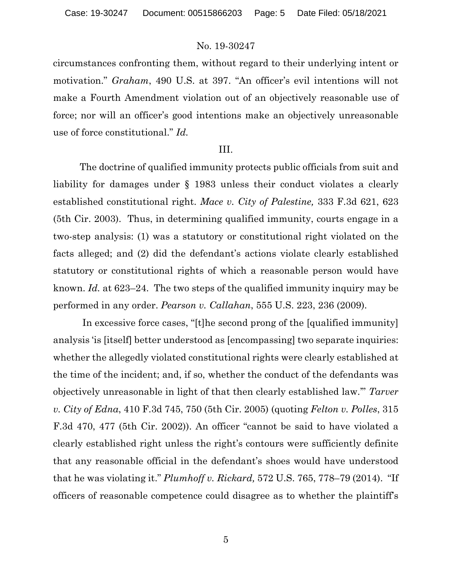circumstances confronting them, without regard to their underlying intent or motivation." *Graham*, 490 U.S. at 397. "An officer's evil intentions will not make a Fourth Amendment violation out of an objectively reasonable use of force; nor will an officer's good intentions make an objectively unreasonable use of force constitutional." *Id.*

### III.

The doctrine of qualified immunity protects public officials from suit and liability for damages under § 1983 unless their conduct violates a clearly established constitutional right. *Mace v. City of Palestine,* 333 F.3d 621, 623 (5th Cir. 2003). Thus, in determining qualified immunity, courts engage in a two-step analysis: (1) was a statutory or constitutional right violated on the facts alleged; and (2) did the defendant's actions violate clearly established statutory or constitutional rights of which a reasonable person would have known. *Id.* at 623–24. The two steps of the qualified immunity inquiry may be performed in any order. *Pearson v. Callahan*, 555 U.S. 223, 236 (2009).

In excessive force cases, "[t]he second prong of the [qualified immunity] analysis 'is [itself] better understood as [encompassing] two separate inquiries: whether the allegedly violated constitutional rights were clearly established at the time of the incident; and, if so, whether the conduct of the defendants was objectively unreasonable in light of that then clearly established law.'" *Tarver v. City of Edna*, 410 F.3d 745, 750 (5th Cir. 2005) (quoting *Felton v. Polles*, 315 F.3d 470, 477 (5th Cir. 2002)). An officer "cannot be said to have violated a clearly established right unless the right's contours were sufficiently definite that any reasonable official in the defendant's shoes would have understood that he was violating it." *Plumhoff v. Rickard,* 572 U.S. 765, 778–79 (2014). "If officers of reasonable competence could disagree as to whether the plaintiff's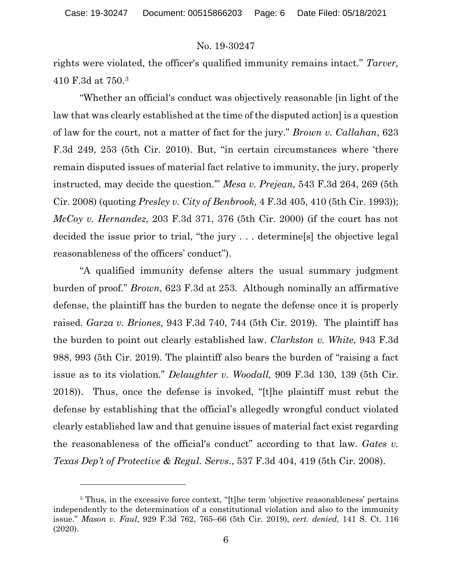rights were violated, the officer's qualified immunity remains intact." *Tarver,*  410 F.3d at 750.3

"Whether an official's conduct was objectively reasonable [in light of the law that was clearly established at the time of the disputed action] is a question of law for the court, not a matter of fact for the jury." *Brown v. Callahan*, 623 F.3d 249, 253 (5th Cir. 2010). But, "in certain circumstances where 'there remain disputed issues of material fact relative to immunity, the jury, properly instructed, may decide the question.'" *Mesa v. Prejean,* 543 F.3d 264, 269 (5th Cir. 2008) (quoting *Presley v. City of Benbrook,* 4 F.3d 405, 410 (5th Cir. 1993)); *McCoy v. Hernandez,* 203 F.3d 371, 376 (5th Cir. 2000) (if the court has not decided the issue prior to trial, "the jury . . . determine[s] the objective legal reasonableness of the officers' conduct").

"A qualified immunity defense alters the usual summary judgment burden of proof." *Brown*, 623 F.3d at 253. Although nominally an affirmative defense, the plaintiff has the burden to negate the defense once it is properly raised*. Garza v. Briones,* 943 F.3d 740, 744 (5th Cir. 2019). The plaintiff has the burden to point out clearly established law. *Clarkston v. White*, 943 F.3d 988, 993 (5th Cir. 2019). The plaintiff also bears the burden of "raising a fact issue as to its violation." *Delaughter v. Woodall,* 909 F.3d 130, 139 (5th Cir. 2018)). Thus, once the defense is invoked, "[t]he plaintiff must rebut the defense by establishing that the official's allegedly wrongful conduct violated clearly established law and that genuine issues of material fact exist regarding the reasonableness of the official's conduct" according to that law. *Gates v. Texas Dep't of Protective & Regul. Servs*., 537 F.3d 404, 419 (5th Cir. 2008).

<sup>&</sup>lt;sup>3</sup> Thus, in the excessive force context, "[t]he term 'objective reasonableness' pertains independently to the determination of a constitutional violation and also to the immunity issue." *Mason v. Faul*, 929 F.3d 762, 765–66 (5th Cir. 2019), *cert. denied,* 141 S. Ct. 116 (2020).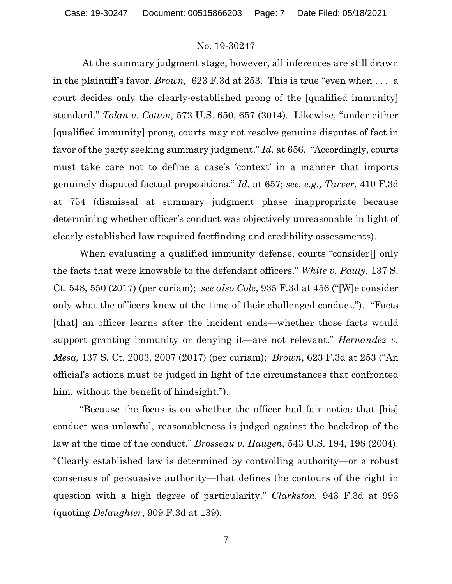At the summary judgment stage, however, all inferences are still drawn in the plaintiff's favor. *Brown,* 623 F.3d at 253. This is true "even when . . . a court decides only the clearly-established prong of the [qualified immunity] standard." *Tolan v. Cotton,* 572 U.S. 650, 657 (2014). Likewise, "under either [qualified immunity] prong, courts may not resolve genuine disputes of fact in favor of the party seeking summary judgment." *Id.* at 656. "Accordingly, courts must take care not to define a case's 'context' in a manner that imports genuinely disputed factual propositions." *Id.* at 657; *see, e.g., Tarver*, 410 F.3d at 754 (dismissal at summary judgment phase inappropriate because determining whether officer's conduct was objectively unreasonable in light of clearly established law required factfinding and credibility assessments).

When evaluating a qualified immunity defense, courts "consider[] only the facts that were knowable to the defendant officers." *White v. Pauly*, 137 S. Ct. 548, 550 (2017) (per curiam); *see also Cole*, 935 F.3d at 456 ("[W]e consider only what the officers knew at the time of their challenged conduct."). "Facts [that] an officer learns after the incident ends—whether those facts would support granting immunity or denying it—are not relevant." *Hernandez v. Mesa,* 137 S. Ct. 2003, 2007 (2017) (per curiam); *Brown*, 623 F.3d at 253 ("An official's actions must be judged in light of the circumstances that confronted him, without the benefit of hindsight.").

"Because the focus is on whether the officer had fair notice that [his] conduct was unlawful, reasonableness is judged against the backdrop of the law at the time of the conduct." *Brosseau v. Haugen*, 543 U.S. 194, 198 (2004). "Clearly established law is determined by controlling authority—or a robust consensus of persuasive authority—that defines the contours of the right in question with a high degree of particularity." *Clarkston,* 943 F.3d at 993 (quoting *Delaughter*, 909 F.3d at 139).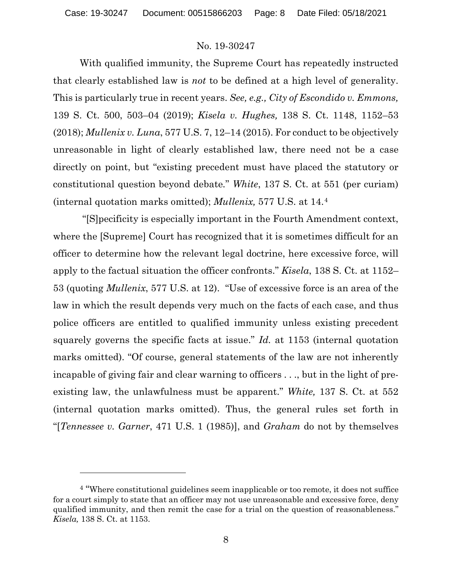With qualified immunity, the Supreme Court has repeatedly instructed that clearly established law is *not* to be defined at a high level of generality. This is particularly true in recent years. *See, e.g., City of Escondido v. Emmons,*  139 S. Ct. 500, 503–04 (2019); *Kisela v. Hughes,* 138 S. Ct. 1148, 1152–53 (2018); *Mullenix v. Luna*, 577 U.S. 7, 12–14 (2015). For conduct to be objectively unreasonable in light of clearly established law, there need not be a case directly on point, but "existing precedent must have placed the statutory or constitutional question beyond debate*.*" *White*, 137 S. Ct. at 551 (per curiam) (internal quotation marks omitted); *Mullenix,* 577 U.S. at 14.4

"[S]pecificity is especially important in the Fourth Amendment context, where the [Supreme] Court has recognized that it is sometimes difficult for an officer to determine how the relevant legal doctrine, here excessive force, will apply to the factual situation the officer confronts." *Kisela*, 138 S. Ct. at 1152– 53 (quoting *Mullenix*, 577 U.S. at 12). "Use of excessive force is an area of the law in which the result depends very much on the facts of each case, and thus police officers are entitled to qualified immunity unless existing precedent squarely governs the specific facts at issue." *Id.* at 1153 (internal quotation marks omitted). "Of course, general statements of the law are not inherently incapable of giving fair and clear warning to officers . . ., but in the light of preexisting law, the unlawfulness must be apparent." *White,* 137 S. Ct. at 552 (internal quotation marks omitted). Thus, the general rules set forth in "[*Tennessee v. Garner*, 471 U.S. 1 (1985)], and *Graham* do not by themselves

<sup>4</sup> "Where constitutional guidelines seem inapplicable or too remote, it does not suffice for a court simply to state that an officer may not use unreasonable and excessive force, deny qualified immunity, and then remit the case for a trial on the question of reasonableness." *Kisela,* 138 S. Ct. at 1153.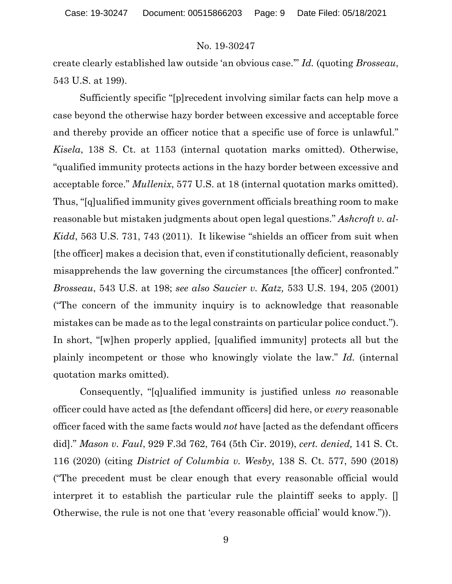create clearly established law outside 'an obvious case.'" *Id.* (quoting *Brosseau*, 543 U.S. at 199).

Sufficiently specific "[p]recedent involving similar facts can help move a case beyond the otherwise hazy border between excessive and acceptable force and thereby provide an officer notice that a specific use of force is unlawful." *Kisela*, 138 S. Ct. at 1153 (internal quotation marks omitted). Otherwise, "qualified immunity protects actions in the hazy border between excessive and acceptable force." *Mullenix*, 577 U.S. at 18 (internal quotation marks omitted). Thus, "[q]ualified immunity gives government officials breathing room to make reasonable but mistaken judgments about open legal questions." *Ashcroft v. al-Kidd*, 563 U.S. 731, 743 (2011). It likewise "shields an officer from suit when [the officer] makes a decision that, even if constitutionally deficient, reasonably misapprehends the law governing the circumstances [the officer] confronted." *Brosseau*, 543 U.S. at 198; *see also Saucier v. Katz,* 533 U.S. 194, 205 (2001) ("The concern of the immunity inquiry is to acknowledge that reasonable mistakes can be made as to the legal constraints on particular police conduct."). In short, "[w]hen properly applied, [qualified immunity] protects all but the plainly incompetent or those who knowingly violate the law." *Id.* (internal quotation marks omitted).

Consequently, "[q]ualified immunity is justified unless *no* reasonable officer could have acted as [the defendant officers] did here, or *every* reasonable officer faced with the same facts would *not* have [acted as the defendant officers did]." *Mason v. Faul*, 929 F.3d 762, 764 (5th Cir. 2019), *cert. denied,* 141 S. Ct. 116 (2020) (citing *District of Columbia v. Wesby,* 138 S. Ct. 577, 590 (2018) ("The precedent must be clear enough that every reasonable official would interpret it to establish the particular rule the plaintiff seeks to apply. [] Otherwise, the rule is not one that 'every reasonable official' would know.")).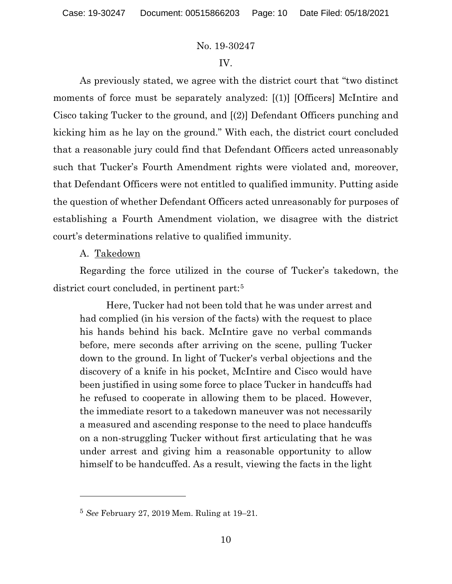### IV.

As previously stated, we agree with the district court that "two distinct moments of force must be separately analyzed: [(1)] [Officers] McIntire and Cisco taking Tucker to the ground, and [(2)] Defendant Officers punching and kicking him as he lay on the ground." With each, the district court concluded that a reasonable jury could find that Defendant Officers acted unreasonably such that Tucker's Fourth Amendment rights were violated and, moreover, that Defendant Officers were not entitled to qualified immunity. Putting aside the question of whether Defendant Officers acted unreasonably for purposes of establishing a Fourth Amendment violation, we disagree with the district court's determinations relative to qualified immunity.

### A. Takedown

Regarding the force utilized in the course of Tucker's takedown, the district court concluded, in pertinent part:5

Here, Tucker had not been told that he was under arrest and had complied (in his version of the facts) with the request to place his hands behind his back. McIntire gave no verbal commands before, mere seconds after arriving on the scene, pulling Tucker down to the ground. In light of Tucker's verbal objections and the discovery of a knife in his pocket, McIntire and Cisco would have been justified in using some force to place Tucker in handcuffs had he refused to cooperate in allowing them to be placed. However, the immediate resort to a takedown maneuver was not necessarily a measured and ascending response to the need to place handcuffs on a non-struggling Tucker without first articulating that he was under arrest and giving him a reasonable opportunity to allow himself to be handcuffed. As a result, viewing the facts in the light

<sup>5</sup> *See* February 27, 2019 Mem. Ruling at 19–21.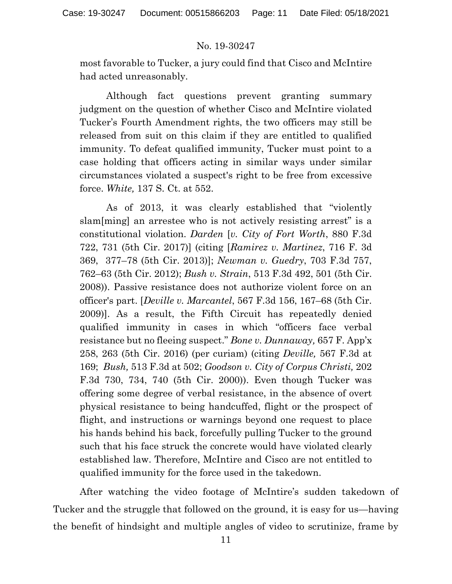most favorable to Tucker, a jury could find that Cisco and McIntire had acted unreasonably.

Although fact questions prevent granting summary judgment on the question of whether Cisco and McIntire violated Tucker's Fourth Amendment rights, the two officers may still be released from suit on this claim if they are entitled to qualified immunity. To defeat qualified immunity, Tucker must point to a case holding that officers acting in similar ways under similar circumstances violated a suspect's right to be free from excessive force. *White,* 137 S. Ct. at 552.

As of 2013, it was clearly established that "violently slam[ming] an arrestee who is not actively resisting arrest" is a constitutional violation. *Darden* [*v. City of Fort Worth*, 880 F.3d 722, 731 (5th Cir. 2017)] (citing [*Ramirez v. Martinez*, 716 F. 3d 369, 377–78 (5th Cir. 2013)]; *Newman v. Guedry*, 703 F.3d 757, 762–63 (5th Cir. 2012); *Bush v. Strain*, 513 F.3d 492, 501 (5th Cir. 2008)). Passive resistance does not authorize violent force on an officer's part. [*Deville v. Marcantel*, 567 F.3d 156, 167–68 (5th Cir. 2009)]. As a result, the Fifth Circuit has repeatedly denied qualified immunity in cases in which "officers face verbal resistance but no fleeing suspect." *Bone v. Dunnaway,* 657 F. App'x 258, 263 (5th Cir. 2016) (per curiam) (citing *Deville,* 567 F.3d at 169; *Bush,* 513 F.3d at 502; *Goodson v. City of Corpus Christi,* 202 F.3d 730, 734, 740 (5th Cir. 2000)). Even though Tucker was offering some degree of verbal resistance, in the absence of overt physical resistance to being handcuffed, flight or the prospect of flight, and instructions or warnings beyond one request to place his hands behind his back, forcefully pulling Tucker to the ground such that his face struck the concrete would have violated clearly established law. Therefore, McIntire and Cisco are not entitled to qualified immunity for the force used in the takedown.

After watching the video footage of McIntire's sudden takedown of Tucker and the struggle that followed on the ground, it is easy for us—having the benefit of hindsight and multiple angles of video to scrutinize, frame by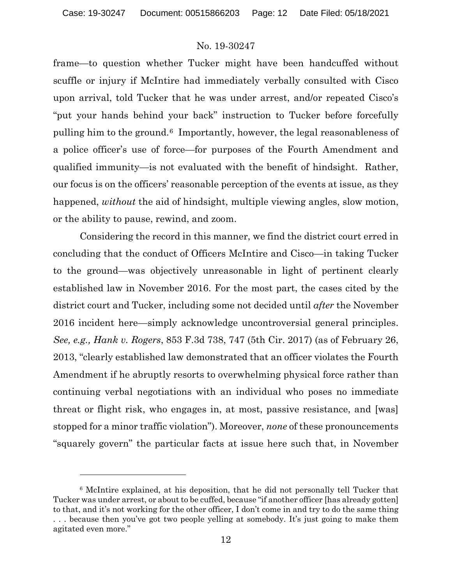frame—to question whether Tucker might have been handcuffed without scuffle or injury if McIntire had immediately verbally consulted with Cisco upon arrival, told Tucker that he was under arrest, and/or repeated Cisco's "put your hands behind your back" instruction to Tucker before forcefully pulling him to the ground.6 Importantly, however, the legal reasonableness of a police officer's use of force—for purposes of the Fourth Amendment and qualified immunity—is not evaluated with the benefit of hindsight. Rather, our focus is on the officers' reasonable perception of the events at issue, as they happened, *without* the aid of hindsight, multiple viewing angles, slow motion, or the ability to pause, rewind, and zoom.

Considering the record in this manner, we find the district court erred in concluding that the conduct of Officers McIntire and Cisco—in taking Tucker to the ground—was objectively unreasonable in light of pertinent clearly established law in November 2016. For the most part, the cases cited by the district court and Tucker, including some not decided until *after* the November 2016 incident here—simply acknowledge uncontroversial general principles. *See, e.g., Hank v. Rogers*, 853 F.3d 738, 747 (5th Cir. 2017) (as of February 26, 2013, "clearly established law demonstrated that an officer violates the Fourth Amendment if he abruptly resorts to overwhelming physical force rather than continuing verbal negotiations with an individual who poses no immediate threat or flight risk, who engages in, at most, passive resistance, and [was] stopped for a minor traffic violation"). Moreover, *none* of these pronouncements "squarely govern" the particular facts at issue here such that, in November

<sup>6</sup> McIntire explained, at his deposition, that he did not personally tell Tucker that Tucker was under arrest, or about to be cuffed, because "if another officer [has already gotten] to that, and it's not working for the other officer, I don't come in and try to do the same thing . . . because then you've got two people yelling at somebody. It's just going to make them agitated even more."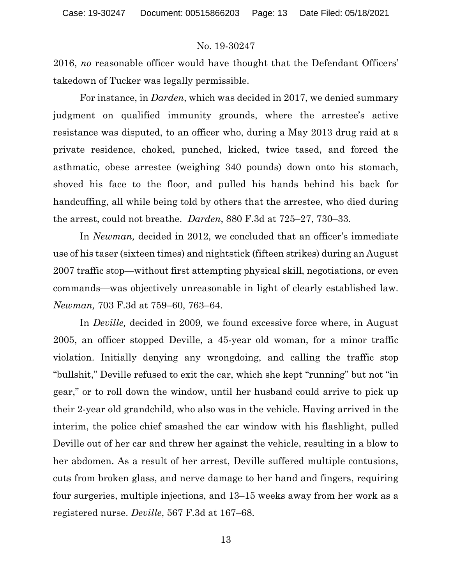2016, *no* reasonable officer would have thought that the Defendant Officers' takedown of Tucker was legally permissible.

For instance, in *Darden*, which was decided in 2017, we denied summary judgment on qualified immunity grounds, where the arrestee's active resistance was disputed, to an officer who, during a May 2013 drug raid at a private residence, choked, punched, kicked, twice tased, and forced the asthmatic, obese arrestee (weighing 340 pounds) down onto his stomach, shoved his face to the floor, and pulled his hands behind his back for handcuffing, all while being told by others that the arrestee, who died during the arrest, could not breathe. *Darden*, 880 F.3d at 725–27, 730–33.

In *Newman,* decided in 2012, we concluded that an officer's immediate use of his taser (sixteen times) and nightstick (fifteen strikes) during an August 2007 traffic stop—without first attempting physical skill, negotiations, or even commands—was objectively unreasonable in light of clearly established law. *Newman,* 703 F.3d at 759–60, 763–64.

In *Deville,* decided in 2009*,* we found excessive force where, in August 2005, an officer stopped Deville, a 45-year old woman, for a minor traffic violation. Initially denying any wrongdoing, and calling the traffic stop "bullshit," Deville refused to exit the car, which she kept "running" but not "in gear," or to roll down the window, until her husband could arrive to pick up their 2-year old grandchild, who also was in the vehicle. Having arrived in the interim, the police chief smashed the car window with his flashlight, pulled Deville out of her car and threw her against the vehicle, resulting in a blow to her abdomen. As a result of her arrest, Deville suffered multiple contusions, cuts from broken glass, and nerve damage to her hand and fingers, requiring four surgeries, multiple injections, and 13–15 weeks away from her work as a registered nurse. *Deville*, 567 F.3d at 167–68.

13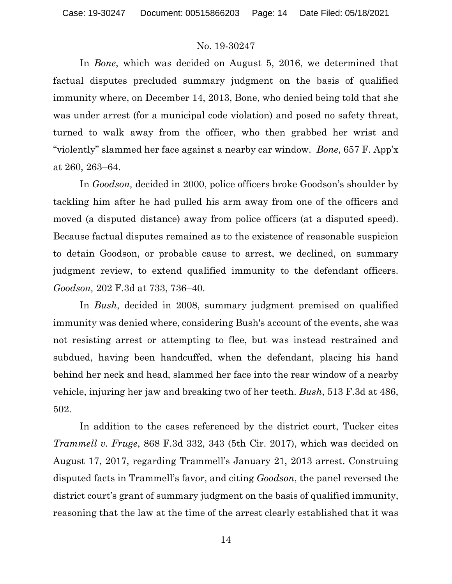In *Bone*, which was decided on August 5, 2016, we determined that factual disputes precluded summary judgment on the basis of qualified immunity where, on December 14, 2013, Bone, who denied being told that she was under arrest (for a municipal code violation) and posed no safety threat, turned to walk away from the officer, who then grabbed her wrist and "violently" slammed her face against a nearby car window. *Bone*, 657 F. App'x at 260, 263–64.

In *Goodson,* decided in 2000, police officers broke Goodson's shoulder by tackling him after he had pulled his arm away from one of the officers and moved (a disputed distance) away from police officers (at a disputed speed). Because factual disputes remained as to the existence of reasonable suspicion to detain Goodson, or probable cause to arrest, we declined, on summary judgment review, to extend qualified immunity to the defendant officers. *Goodson,* 202 F.3d at 733, 736–40.

In *Bush*, decided in 2008, summary judgment premised on qualified immunity was denied where, considering Bush's account of the events, she was not resisting arrest or attempting to flee, but was instead restrained and subdued, having been handcuffed, when the defendant, placing his hand behind her neck and head, slammed her face into the rear window of a nearby vehicle, injuring her jaw and breaking two of her teeth. *Bush*, 513 F.3d at 486, 502.

In addition to the cases referenced by the district court, Tucker cites *Trammell v. Fruge*, 868 F.3d 332, 343 (5th Cir. 2017), which was decided on August 17, 2017, regarding Trammell's January 21, 2013 arrest. Construing disputed facts in Trammell's favor, and citing *Goodson*, the panel reversed the district court's grant of summary judgment on the basis of qualified immunity, reasoning that the law at the time of the arrest clearly established that it was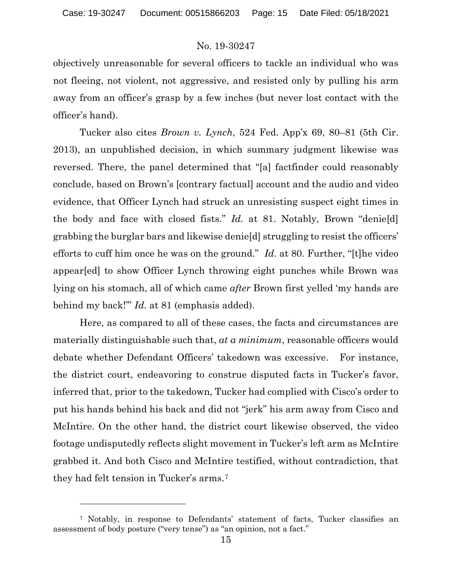objectively unreasonable for several officers to tackle an individual who was not fleeing, not violent, not aggressive, and resisted only by pulling his arm away from an officer's grasp by a few inches (but never lost contact with the officer's hand).

Tucker also cites *Brown v. Lynch*, 524 Fed. App'x 69, 80–81 (5th Cir. 2013), an unpublished decision, in which summary judgment likewise was reversed. There, the panel determined that "[a] factfinder could reasonably conclude, based on Brown's [contrary factual] account and the audio and video evidence, that Officer Lynch had struck an unresisting suspect eight times in the body and face with closed fists." *Id.* at 81. Notably, Brown "denie[d] grabbing the burglar bars and likewise denie[d] struggling to resist the officers' efforts to cuff him once he was on the ground." *Id*. at 80. Further, "[t]he video appear[ed] to show Officer Lynch throwing eight punches while Brown was lying on his stomach, all of which came *after* Brown first yelled 'my hands are behind my back!'" *Id.* at 81 (emphasis added).

Here, as compared to all of these cases, the facts and circumstances are materially distinguishable such that, *at a minimum*, reasonable officers would debate whether Defendant Officers' takedown was excessive. For instance, the district court, endeavoring to construe disputed facts in Tucker's favor, inferred that, prior to the takedown, Tucker had complied with Cisco's order to put his hands behind his back and did not "jerk" his arm away from Cisco and McIntire. On the other hand, the district court likewise observed, the video footage undisputedly reflects slight movement in Tucker's left arm as McIntire grabbed it. And both Cisco and McIntire testified, without contradiction, that they had felt tension in Tucker's arms.7

<sup>7</sup> Notably, in response to Defendants' statement of facts, Tucker classifies an assessment of body posture ("very tense") as "an opinion, not a fact."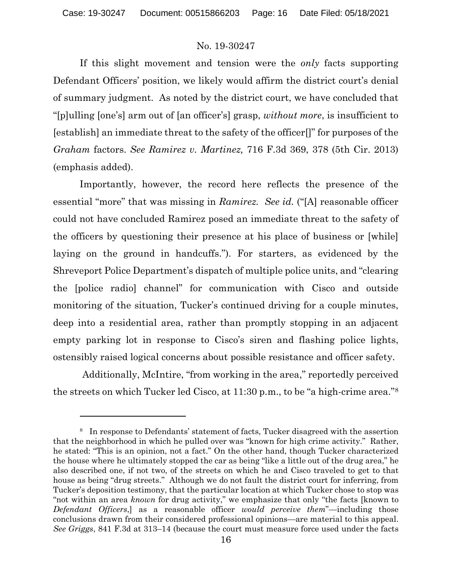If this slight movement and tension were the *only* facts supporting Defendant Officers' position, we likely would affirm the district court's denial of summary judgment. As noted by the district court, we have concluded that "[p]ulling [one's] arm out of [an officer's] grasp, *without more*, is insufficient to [establish] an immediate threat to the safety of the officer[]" for purposes of the *Graham* factors. *See Ramirez v. Martinez,* 716 F.3d 369, 378 (5th Cir. 2013) (emphasis added).

Importantly, however, the record here reflects the presence of the essential "more" that was missing in *Ramirez. See id.* ("[A] reasonable officer could not have concluded Ramirez posed an immediate threat to the safety of the officers by questioning their presence at his place of business or [while] laying on the ground in handcuffs."). For starters, as evidenced by the Shreveport Police Department's dispatch of multiple police units, and "clearing the [police radio] channel" for communication with Cisco and outside monitoring of the situation, Tucker's continued driving for a couple minutes, deep into a residential area, rather than promptly stopping in an adjacent empty parking lot in response to Cisco's siren and flashing police lights, ostensibly raised logical concerns about possible resistance and officer safety.

Additionally, McIntire, "from working in the area," reportedly perceived the streets on which Tucker led Cisco, at 11:30 p.m., to be "a high-crime area."8

<sup>8</sup> In response to Defendants' statement of facts, Tucker disagreed with the assertion that the neighborhood in which he pulled over was "known for high crime activity." Rather, he stated: "This is an opinion, not a fact." On the other hand, though Tucker characterized the house where he ultimately stopped the car as being "like a little out of the drug area," he also described one, if not two, of the streets on which he and Cisco traveled to get to that house as being "drug streets." Although we do not fault the district court for inferring, from Tucker's deposition testimony, that the particular location at which Tucker chose to stop was "not within an area *known* for drug activity," we emphasize that only "the facts [known to *Defendant Officers*,] as a reasonable officer *would perceive them*"—including those conclusions drawn from their considered professional opinions—are material to this appeal. *See Griggs*, 841 F.3d at 313–14 (because the court must measure force used under the facts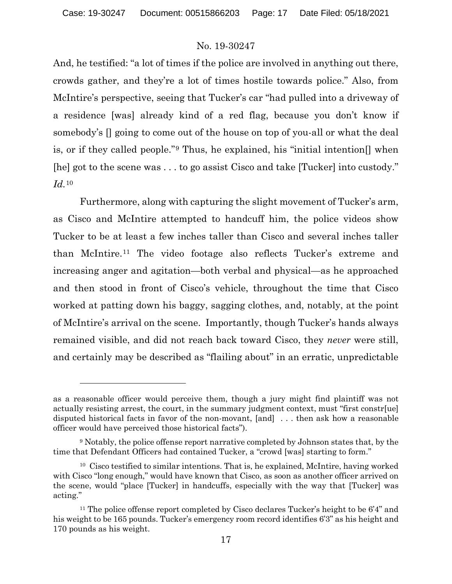And, he testified: "a lot of times if the police are involved in anything out there, crowds gather, and they're a lot of times hostile towards police." Also, from McIntire's perspective, seeing that Tucker's car "had pulled into a driveway of a residence [was] already kind of a red flag, because you don't know if somebody's [] going to come out of the house on top of you-all or what the deal is, or if they called people."9 Thus, he explained, his "initial intention[] when [he] got to the scene was . . . to go assist Cisco and take [Tucker] into custody." *Id.*<sup>10</sup>

Furthermore, along with capturing the slight movement of Tucker's arm, as Cisco and McIntire attempted to handcuff him, the police videos show Tucker to be at least a few inches taller than Cisco and several inches taller than McIntire.11 The video footage also reflects Tucker's extreme and increasing anger and agitation—both verbal and physical—as he approached and then stood in front of Cisco's vehicle, throughout the time that Cisco worked at patting down his baggy, sagging clothes, and, notably, at the point of McIntire's arrival on the scene. Importantly, though Tucker's hands always remained visible, and did not reach back toward Cisco, they *never* were still, and certainly may be described as "flailing about" in an erratic, unpredictable

as a reasonable officer would perceive them, though a jury might find plaintiff was not actually resisting arrest, the court, in the summary judgment context, must "first constr[ue] disputed historical facts in favor of the non-movant, [and] . . . then ask how a reasonable officer would have perceived those historical facts").

<sup>9</sup> Notably, the police offense report narrative completed by Johnson states that, by the time that Defendant Officers had contained Tucker, a "crowd [was] starting to form."

<sup>10</sup> Cisco testified to similar intentions. That is, he explained, McIntire, having worked with Cisco "long enough," would have known that Cisco, as soon as another officer arrived on the scene, would "place [Tucker] in handcuffs, especially with the way that [Tucker] was acting."

<sup>&</sup>lt;sup>11</sup> The police offense report completed by Cisco declares Tucker's height to be  $6'4'$  and his weight to be 165 pounds. Tucker's emergency room record identifies 6'3" as his height and 170 pounds as his weight.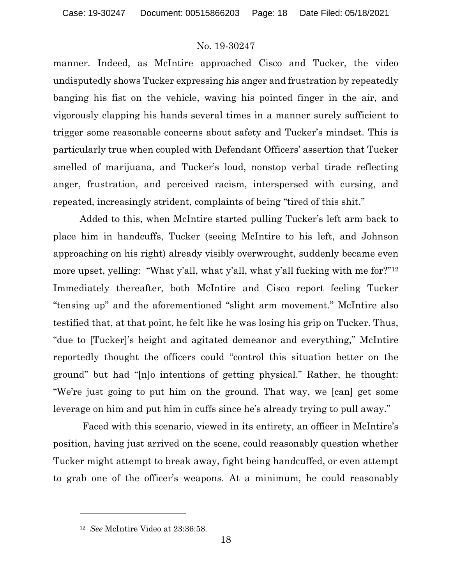manner. Indeed, as McIntire approached Cisco and Tucker, the video undisputedly shows Tucker expressing his anger and frustration by repeatedly banging his fist on the vehicle, waving his pointed finger in the air, and vigorously clapping his hands several times in a manner surely sufficient to trigger some reasonable concerns about safety and Tucker's mindset. This is particularly true when coupled with Defendant Officers' assertion that Tucker smelled of marijuana, and Tucker's loud, nonstop verbal tirade reflecting anger, frustration, and perceived racism, interspersed with cursing, and repeated, increasingly strident, complaints of being "tired of this shit."

Added to this, when McIntire started pulling Tucker's left arm back to place him in handcuffs, Tucker (seeing McIntire to his left, and Johnson approaching on his right) already visibly overwrought, suddenly became even more upset, yelling: "What y'all, what y'all, what y'all fucking with me for?"12 Immediately thereafter, both McIntire and Cisco report feeling Tucker "tensing up" and the aforementioned "slight arm movement." McIntire also testified that, at that point, he felt like he was losing his grip on Tucker. Thus, "due to [Tucker]'s height and agitated demeanor and everything," McIntire reportedly thought the officers could "control this situation better on the ground" but had "[n]o intentions of getting physical." Rather, he thought: "We're just going to put him on the ground. That way, we [can] get some leverage on him and put him in cuffs since he's already trying to pull away."

Faced with this scenario, viewed in its entirety, an officer in McIntire's position, having just arrived on the scene, could reasonably question whether Tucker might attempt to break away, fight being handcuffed, or even attempt to grab one of the officer's weapons. At a minimum, he could reasonably

<sup>12</sup> *See* McIntire Video at 23:36:58.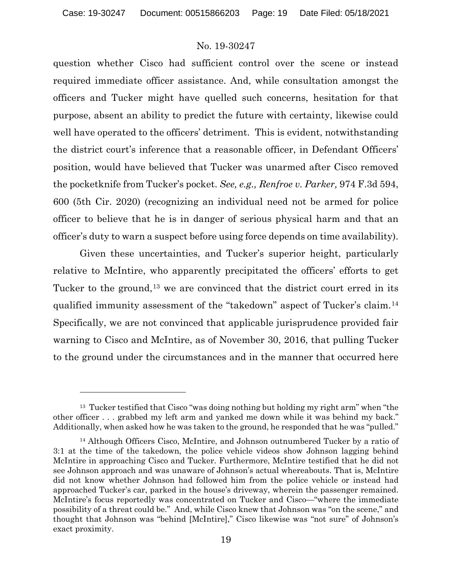question whether Cisco had sufficient control over the scene or instead required immediate officer assistance. And, while consultation amongst the officers and Tucker might have quelled such concerns, hesitation for that purpose, absent an ability to predict the future with certainty, likewise could well have operated to the officers' detriment. This is evident, notwithstanding the district court's inference that a reasonable officer, in Defendant Officers' position, would have believed that Tucker was unarmed after Cisco removed the pocketknife from Tucker's pocket. *See, e.g., Renfroe v. Parker,* 974 F.3d 594, 600 (5th Cir. 2020) (recognizing an individual need not be armed for police officer to believe that he is in danger of serious physical harm and that an officer's duty to warn a suspect before using force depends on time availability).

Given these uncertainties, and Tucker's superior height, particularly relative to McIntire, who apparently precipitated the officers' efforts to get Tucker to the ground,<sup>13</sup> we are convinced that the district court erred in its qualified immunity assessment of the "takedown" aspect of Tucker's claim.14 Specifically, we are not convinced that applicable jurisprudence provided fair warning to Cisco and McIntire, as of November 30, 2016, that pulling Tucker to the ground under the circumstances and in the manner that occurred here

 $13$  Tucker testified that Cisco "was doing nothing but holding my right arm" when "the other officer . . . grabbed my left arm and yanked me down while it was behind my back." Additionally, when asked how he was taken to the ground, he responded that he was "pulled."

<sup>14</sup> Although Officers Cisco, McIntire, and Johnson outnumbered Tucker by a ratio of 3:1 at the time of the takedown, the police vehicle videos show Johnson lagging behind McIntire in approaching Cisco and Tucker. Furthermore, McIntire testified that he did not see Johnson approach and was unaware of Johnson's actual whereabouts. That is, McIntire did not know whether Johnson had followed him from the police vehicle or instead had approached Tucker's car, parked in the house's driveway, wherein the passenger remained. McIntire's focus reportedly was concentrated on Tucker and Cisco—"where the immediate possibility of a threat could be." And, while Cisco knew that Johnson was "on the scene," and thought that Johnson was "behind [McIntire]," Cisco likewise was "not sure" of Johnson's exact proximity.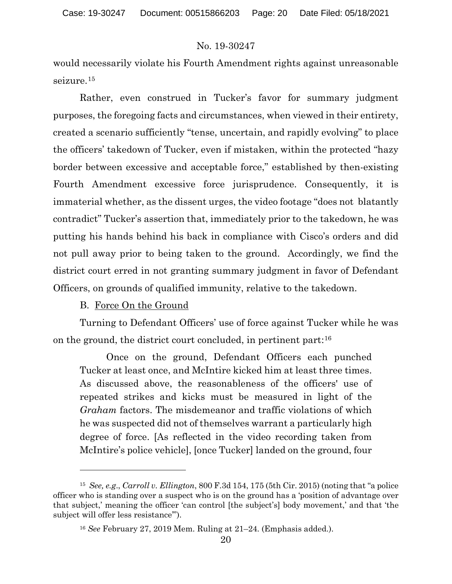would necessarily violate his Fourth Amendment rights against unreasonable seizure.15

Rather, even construed in Tucker's favor for summary judgment purposes, the foregoing facts and circumstances, when viewed in their entirety, created a scenario sufficiently "tense, uncertain, and rapidly evolving" to place the officers' takedown of Tucker, even if mistaken, within the protected "hazy border between excessive and acceptable force," established by then-existing Fourth Amendment excessive force jurisprudence. Consequently, it is immaterial whether, as the dissent urges, the video footage "does not blatantly contradict" Tucker's assertion that, immediately prior to the takedown, he was putting his hands behind his back in compliance with Cisco's orders and did not pull away prior to being taken to the ground. Accordingly, we find the district court erred in not granting summary judgment in favor of Defendant Officers, on grounds of qualified immunity, relative to the takedown.

### B. Force On the Ground

Turning to Defendant Officers' use of force against Tucker while he was on the ground, the district court concluded, in pertinent part:16

Once on the ground, Defendant Officers each punched Tucker at least once, and McIntire kicked him at least three times. As discussed above, the reasonableness of the officers' use of repeated strikes and kicks must be measured in light of the *Graham* factors. The misdemeanor and traffic violations of which he was suspected did not of themselves warrant a particularly high degree of force. [As reflected in the video recording taken from McIntire's police vehicle], [once Tucker] landed on the ground, four

<sup>15</sup> *See, e.g*., *Carroll v. Ellington*, 800 F.3d 154, 175 (5th Cir. 2015) (noting that "a police officer who is standing over a suspect who is on the ground has a 'position of advantage over that subject,' meaning the officer 'can control [the subject's] body movement,' and that 'the subject will offer less resistance'").

<sup>16</sup> *See* February 27, 2019 Mem. Ruling at 21–24. (Emphasis added.).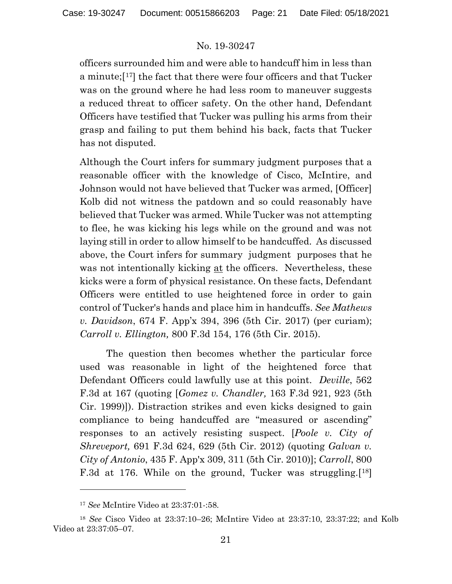officers surrounded him and were able to handcuff him in less than a minute; $[17]$  the fact that there were four officers and that Tucker was on the ground where he had less room to maneuver suggests a reduced threat to officer safety. On the other hand, Defendant Officers have testified that Tucker was pulling his arms from their grasp and failing to put them behind his back, facts that Tucker has not disputed.

Although the Court infers for summary judgment purposes that a reasonable officer with the knowledge of Cisco, McIntire, and Johnson would not have believed that Tucker was armed, [Officer] Kolb did not witness the patdown and so could reasonably have believed that Tucker was armed. While Tucker was not attempting to flee, he was kicking his legs while on the ground and was not laying still in order to allow himself to be handcuffed. As discussed above, the Court infers for summary judgment purposes that he was not intentionally kicking at the officers. Nevertheless, these kicks were a form of physical resistance. On these facts, Defendant Officers were entitled to use heightened force in order to gain control of Tucker's hands and place him in handcuffs. *See Mathews v. Davidson*, 674 F. App'x 394, 396 (5th Cir. 2017) (per curiam); *Carroll v. Ellington,* 800 F.3d 154, 176 (5th Cir. 2015).

The question then becomes whether the particular force used was reasonable in light of the heightened force that Defendant Officers could lawfully use at this point. *Deville*, 562 F.3d at 167 (quoting [*Gomez v. Chandler,* 163 F.3d 921, 923 (5th Cir. 1999)]). Distraction strikes and even kicks designed to gain compliance to being handcuffed are "measured or ascending" responses to an actively resisting suspect. [*Poole v. City of Shreveport,* 691 F.3d 624, 629 (5th Cir. 2012) (quoting *Galvan v. City of Antonio*, 435 F. App'x 309, 311 (5th Cir. 2010)]; *Carroll*, 800 F.3d at 176. While on the ground, Tucker was struggling.[18]

<sup>17</sup> *See* McIntire Video at 23:37:01-:58.

<sup>18</sup> *See* Cisco Video at 23:37:10–26; McIntire Video at 23:37:10, 23:37:22; and Kolb Video at 23:37:05–07.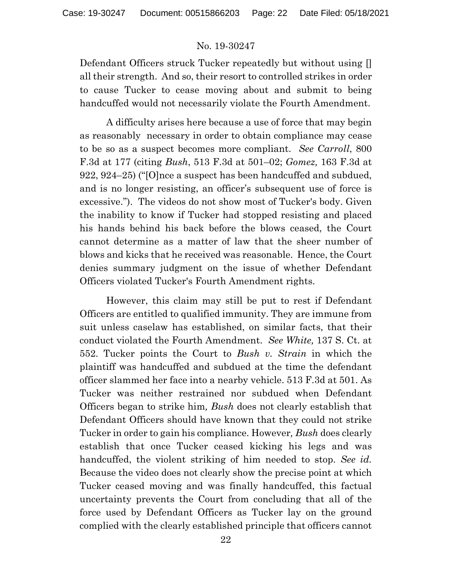Defendant Officers struck Tucker repeatedly but without using [] all their strength. And so, their resort to controlled strikes in order to cause Tucker to cease moving about and submit to being handcuffed would not necessarily violate the Fourth Amendment.

A difficulty arises here because a use of force that may begin as reasonably necessary in order to obtain compliance may cease to be so as a suspect becomes more compliant. *See Carroll*, 800 F.3d at 177 (citing *Bush*, 513 F.3d at 501–02; *Gomez,* 163 F.3d at 922, 924–25) ("[O]nce a suspect has been handcuffed and subdued, and is no longer resisting, an officer's subsequent use of force is excessive."). The videos do not show most of Tucker's body. Given the inability to know if Tucker had stopped resisting and placed his hands behind his back before the blows ceased, the Court cannot determine as a matter of law that the sheer number of blows and kicks that he received was reasonable. Hence, the Court denies summary judgment on the issue of whether Defendant Officers violated Tucker's Fourth Amendment rights.

However, this claim may still be put to rest if Defendant Officers are entitled to qualified immunity. They are immune from suit unless caselaw has established, on similar facts, that their conduct violated the Fourth Amendment. *See White,* 137 S. Ct. at 552. Tucker points the Court to *Bush v. Strain* in which the plaintiff was handcuffed and subdued at the time the defendant officer slammed her face into a nearby vehicle. 513 F.3d at 501. As Tucker was neither restrained nor subdued when Defendant Officers began to strike him*, Bush* does not clearly establish that Defendant Officers should have known that they could not strike Tucker in order to gain his compliance. However*, Bush* does clearly establish that once Tucker ceased kicking his legs and was handcuffed, the violent striking of him needed to stop. *See id.*  Because the video does not clearly show the precise point at which Tucker ceased moving and was finally handcuffed, this factual uncertainty prevents the Court from concluding that all of the force used by Defendant Officers as Tucker lay on the ground complied with the clearly established principle that officers cannot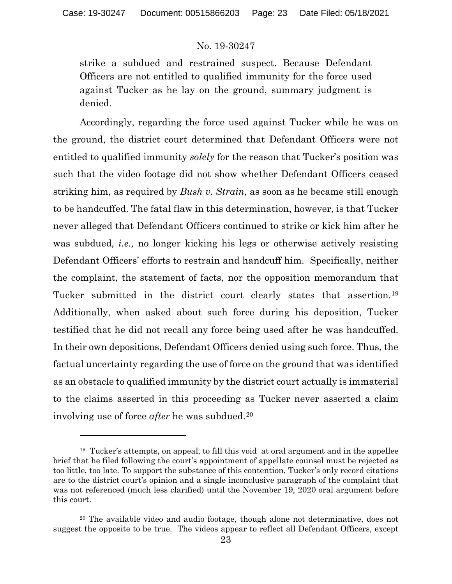strike a subdued and restrained suspect. Because Defendant Officers are not entitled to qualified immunity for the force used against Tucker as he lay on the ground, summary judgment is denied.

Accordingly, regarding the force used against Tucker while he was on the ground, the district court determined that Defendant Officers were not entitled to qualified immunity *solely* for the reason that Tucker's position was such that the video footage did not show whether Defendant Officers ceased striking him, as required by *Bush v. Strain,* as soon as he became still enough to be handcuffed. The fatal flaw in this determination, however, is that Tucker never alleged that Defendant Officers continued to strike or kick him after he was subdued*, i.e.,* no longer kicking his legs or otherwise actively resisting Defendant Officers' efforts to restrain and handcuff him. Specifically, neither the complaint, the statement of facts, nor the opposition memorandum that Tucker submitted in the district court clearly states that assertion.19 Additionally, when asked about such force during his deposition, Tucker testified that he did not recall any force being used after he was handcuffed. In their own depositions, Defendant Officers denied using such force. Thus, the factual uncertainty regarding the use of force on the ground that was identified as an obstacle to qualified immunity by the district court actually is immaterial to the claims asserted in this proceeding as Tucker never asserted a claim involving use of force *after* he was subdued.20

<sup>&</sup>lt;sup>19</sup> Tucker's attempts, on appeal, to fill this void at oral argument and in the appellee brief that he filed following the court's appointment of appellate counsel must be rejected as too little, too late. To support the substance of this contention, Tucker's only record citations are to the district court's opinion and a single inconclusive paragraph of the complaint that was not referenced (much less clarified) until the November 19, 2020 oral argument before this court.

<sup>20</sup> The available video and audio footage, though alone not determinative, does not suggest the opposite to be true. The videos appear to reflect all Defendant Officers, except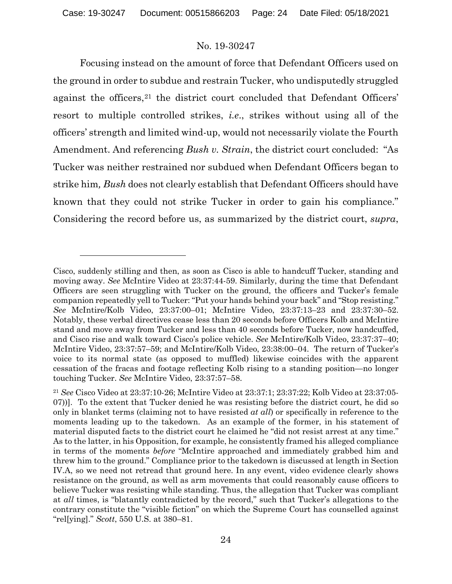Focusing instead on the amount of force that Defendant Officers used on the ground in order to subdue and restrain Tucker, who undisputedly struggled against the officers,  $21$  the district court concluded that Defendant Officers' resort to multiple controlled strikes, *i.e*., strikes without using all of the officers' strength and limited wind-up, would not necessarily violate the Fourth Amendment. And referencing *Bush v. Strain*, the district court concluded: "As Tucker was neither restrained nor subdued when Defendant Officers began to strike him*, Bush* does not clearly establish that Defendant Officers should have known that they could not strike Tucker in order to gain his compliance." Considering the record before us, as summarized by the district court, *supra*,

Cisco, suddenly stilling and then, as soon as Cisco is able to handcuff Tucker, standing and moving away. *See* McIntire Video at 23:37:44-59. Similarly, during the time that Defendant Officers are seen struggling with Tucker on the ground, the officers and Tucker's female companion repeatedly yell to Tucker: "Put your hands behind your back" and "Stop resisting." *See* McIntire/Kolb Video, 23:37:00–01; McIntire Video, 23:37:13–23 and 23:37:30–52. Notably, these verbal directives cease less than 20 seconds before Officers Kolb and McIntire stand and move away from Tucker and less than 40 seconds before Tucker, now handcuffed, and Cisco rise and walk toward Cisco's police vehicle. *See* McIntire/Kolb Video, 23:37:37–40; McIntire Video, 23:37:57–59; and McIntire/Kolb Video, 23:38:00–04. The return of Tucker's voice to its normal state (as opposed to muffled) likewise coincides with the apparent cessation of the fracas and footage reflecting Kolb rising to a standing position—no longer touching Tucker. *See* McIntire Video, 23:37:57–58.

<sup>21</sup> *See* Cisco Video at 23:37:10-26; McIntire Video at 23:37:1; 23:37:22; Kolb Video at 23:37:05- 07))].To the extent that Tucker denied he was resisting before the district court, he did so only in blanket terms (claiming not to have resisted *at all*) or specifically in reference to the moments leading up to the takedown. As an example of the former, in his statement of material disputed facts to the district court he claimed he "did not resist arrest at any time." As to the latter, in his Opposition, for example, he consistently framed his alleged compliance in terms of the moments *before* "McIntire approached and immediately grabbed him and threw him to the ground." Compliance prior to the takedown is discussed at length in Section IV.A, so we need not retread that ground here. In any event, video evidence clearly shows resistance on the ground, as well as arm movements that could reasonably cause officers to believe Tucker was resisting while standing. Thus, the allegation that Tucker was compliant at *all* times, is "blatantly contradicted by the record," such that Tucker's allegations to the contrary constitute the "visible fiction" on which the Supreme Court has counselled against "rel[ying]." *Scott*, 550 U.S. at 380–81.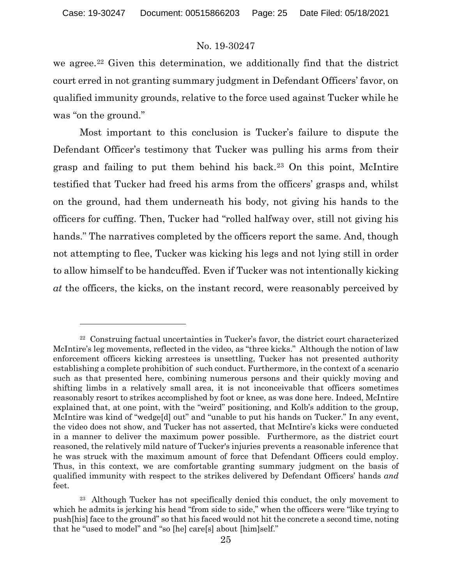we agree.<sup>22</sup> Given this determination, we additionally find that the district court erred in not granting summary judgment in Defendant Officers' favor, on qualified immunity grounds, relative to the force used against Tucker while he was "on the ground."

Most important to this conclusion is Tucker's failure to dispute the Defendant Officer's testimony that Tucker was pulling his arms from their grasp and failing to put them behind his back.23 On this point, McIntire testified that Tucker had freed his arms from the officers' grasps and, whilst on the ground, had them underneath his body, not giving his hands to the officers for cuffing. Then, Tucker had "rolled halfway over, still not giving his hands." The narratives completed by the officers report the same. And, though not attempting to flee, Tucker was kicking his legs and not lying still in order to allow himself to be handcuffed. Even if Tucker was not intentionally kicking *at* the officers, the kicks, on the instant record, were reasonably perceived by

<sup>22</sup> Construing factual uncertainties in Tucker's favor, the district court characterized McIntire's leg movements, reflected in the video, as "three kicks." Although the notion of law enforcement officers kicking arrestees is unsettling, Tucker has not presented authority establishing a complete prohibition of such conduct. Furthermore, in the context of a scenario such as that presented here, combining numerous persons and their quickly moving and shifting limbs in a relatively small area, it is not inconceivable that officers sometimes reasonably resort to strikes accomplished by foot or knee, as was done here. Indeed, McIntire explained that, at one point, with the "weird" positioning, and Kolb's addition to the group, McIntire was kind of "wedge[d] out" and "unable to put his hands on Tucker." In any event, the video does not show, and Tucker has not asserted, that McIntire's kicks were conducted in a manner to deliver the maximum power possible. Furthermore, as the district court reasoned, the relatively mild nature of Tucker's injuries prevents a reasonable inference that he was struck with the maximum amount of force that Defendant Officers could employ. Thus, in this context, we are comfortable granting summary judgment on the basis of qualified immunity with respect to the strikes delivered by Defendant Officers' hands *and* feet.

<sup>&</sup>lt;sup>23</sup> Although Tucker has not specifically denied this conduct, the only movement to which he admits is jerking his head "from side to side," when the officers were "like trying to push[his] face to the ground" so that his faced would not hit the concrete a second time, noting that he "used to model" and "so [he] care[s] about [him]self."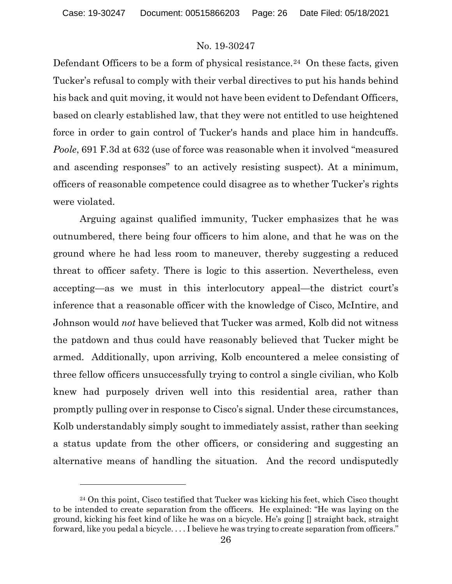Defendant Officers to be a form of physical resistance.<sup>24</sup> On these facts, given Tucker's refusal to comply with their verbal directives to put his hands behind his back and quit moving, it would not have been evident to Defendant Officers, based on clearly established law, that they were not entitled to use heightened force in order to gain control of Tucker's hands and place him in handcuffs. *Poole*, 691 F.3d at 632 (use of force was reasonable when it involved "measured and ascending responses" to an actively resisting suspect). At a minimum, officers of reasonable competence could disagree as to whether Tucker's rights were violated.

Arguing against qualified immunity, Tucker emphasizes that he was outnumbered, there being four officers to him alone, and that he was on the ground where he had less room to maneuver, thereby suggesting a reduced threat to officer safety. There is logic to this assertion. Nevertheless, even accepting—as we must in this interlocutory appeal—the district court's inference that a reasonable officer with the knowledge of Cisco, McIntire, and Johnson would *not* have believed that Tucker was armed, Kolb did not witness the patdown and thus could have reasonably believed that Tucker might be armed. Additionally, upon arriving, Kolb encountered a melee consisting of three fellow officers unsuccessfully trying to control a single civilian, who Kolb knew had purposely driven well into this residential area, rather than promptly pulling over in response to Cisco's signal. Under these circumstances, Kolb understandably simply sought to immediately assist, rather than seeking a status update from the other officers, or considering and suggesting an alternative means of handling the situation. And the record undisputedly

 $24$  On this point, Cisco testified that Tucker was kicking his feet, which Cisco thought to be intended to create separation from the officers. He explained: "He was laying on the ground, kicking his feet kind of like he was on a bicycle. He's going  $\eta$  straight back, straight forward, like you pedal a bicycle. . . . I believe he was trying to create separation from officers."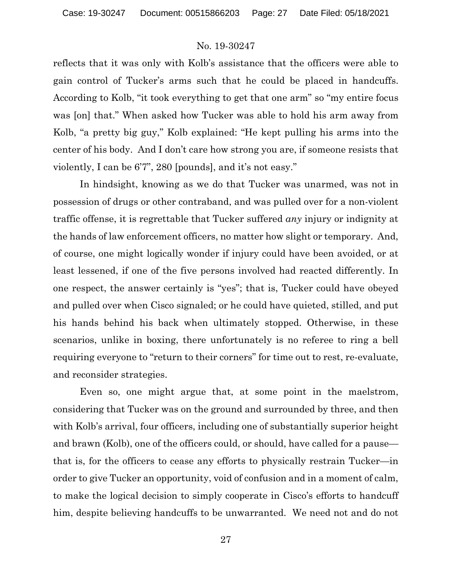reflects that it was only with Kolb's assistance that the officers were able to gain control of Tucker's arms such that he could be placed in handcuffs. According to Kolb, "it took everything to get that one arm" so "my entire focus was [on] that." When asked how Tucker was able to hold his arm away from Kolb, "a pretty big guy," Kolb explained: "He kept pulling his arms into the center of his body. And I don't care how strong you are, if someone resists that violently, I can be 6'7", 280 [pounds], and it's not easy."

In hindsight, knowing as we do that Tucker was unarmed, was not in possession of drugs or other contraband, and was pulled over for a non-violent traffic offense, it is regrettable that Tucker suffered *any* injury or indignity at the hands of law enforcement officers, no matter how slight or temporary. And, of course, one might logically wonder if injury could have been avoided, or at least lessened, if one of the five persons involved had reacted differently. In one respect, the answer certainly is "yes"; that is, Tucker could have obeyed and pulled over when Cisco signaled; or he could have quieted, stilled, and put his hands behind his back when ultimately stopped. Otherwise, in these scenarios, unlike in boxing, there unfortunately is no referee to ring a bell requiring everyone to "return to their corners" for time out to rest, re-evaluate, and reconsider strategies.

Even so, one might argue that, at some point in the maelstrom, considering that Tucker was on the ground and surrounded by three, and then with Kolb's arrival, four officers, including one of substantially superior height and brawn (Kolb), one of the officers could, or should, have called for a pause that is, for the officers to cease any efforts to physically restrain Tucker—in order to give Tucker an opportunity, void of confusion and in a moment of calm, to make the logical decision to simply cooperate in Cisco's efforts to handcuff him, despite believing handcuffs to be unwarranted. We need not and do not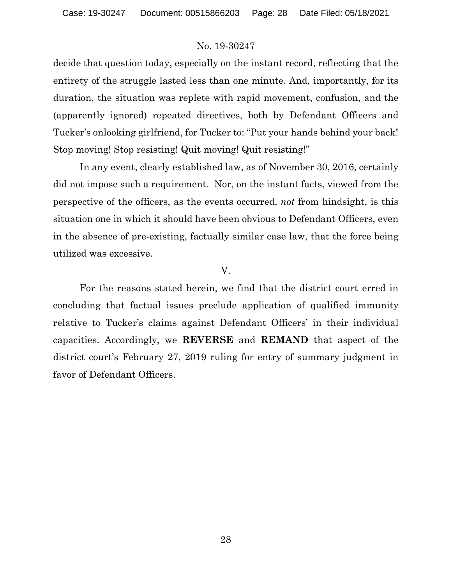decide that question today, especially on the instant record, reflecting that the entirety of the struggle lasted less than one minute. And, importantly, for its duration, the situation was replete with rapid movement, confusion, and the (apparently ignored) repeated directives, both by Defendant Officers and Tucker's onlooking girlfriend, for Tucker to: "Put your hands behind your back! Stop moving! Stop resisting! Quit moving! Quit resisting!"

In any event, clearly established law, as of November 30, 2016, certainly did not impose such a requirement. Nor, on the instant facts, viewed from the perspective of the officers, as the events occurred, *not* from hindsight, is this situation one in which it should have been obvious to Defendant Officers, even in the absence of pre-existing, factually similar case law, that the force being utilized was excessive.

### V.

For the reasons stated herein, we find that the district court erred in concluding that factual issues preclude application of qualified immunity relative to Tucker's claims against Defendant Officers' in their individual capacities. Accordingly, we **REVERSE** and **REMAND** that aspect of the district court's February 27, 2019 ruling for entry of summary judgment in favor of Defendant Officers.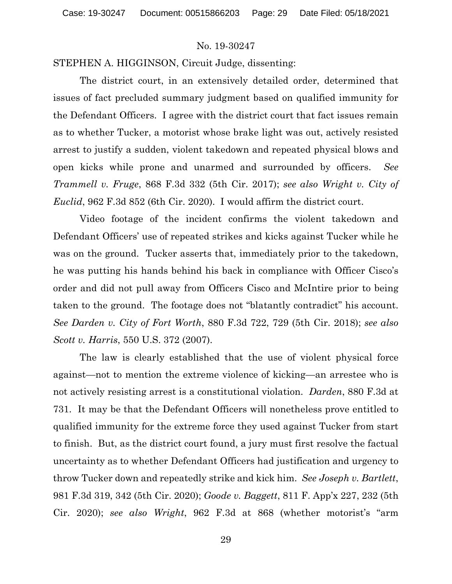STEPHEN A. HIGGINSON, Circuit Judge, dissenting:

The district court, in an extensively detailed order, determined that issues of fact precluded summary judgment based on qualified immunity for the Defendant Officers. I agree with the district court that fact issues remain as to whether Tucker, a motorist whose brake light was out, actively resisted arrest to justify a sudden, violent takedown and repeated physical blows and open kicks while prone and unarmed and surrounded by officers. *See Trammell v. Fruge*, 868 F.3d 332 (5th Cir. 2017); *see also Wright v. City of Euclid*, 962 F.3d 852 (6th Cir. 2020). I would affirm the district court.

Video footage of the incident confirms the violent takedown and Defendant Officers' use of repeated strikes and kicks against Tucker while he was on the ground. Tucker asserts that, immediately prior to the takedown, he was putting his hands behind his back in compliance with Officer Cisco's order and did not pull away from Officers Cisco and McIntire prior to being taken to the ground. The footage does not "blatantly contradict" his account. *See Darden v. City of Fort Worth*, 880 F.3d 722, 729 (5th Cir. 2018); *see also Scott v. Harris*, 550 U.S. 372 (2007).

The law is clearly established that the use of violent physical force against—not to mention the extreme violence of kicking—an arrestee who is not actively resisting arrest is a constitutional violation. *Darden*, 880 F.3d at 731. It may be that the Defendant Officers will nonetheless prove entitled to qualified immunity for the extreme force they used against Tucker from start to finish. But, as the district court found, a jury must first resolve the factual uncertainty as to whether Defendant Officers had justification and urgency to throw Tucker down and repeatedly strike and kick him. *See Joseph v. Bartlett*, 981 F.3d 319, 342 (5th Cir. 2020); *Goode v. Baggett*, 811 F. App'x 227, 232 (5th Cir. 2020); *see also Wright*, 962 F.3d at 868 (whether motorist's "arm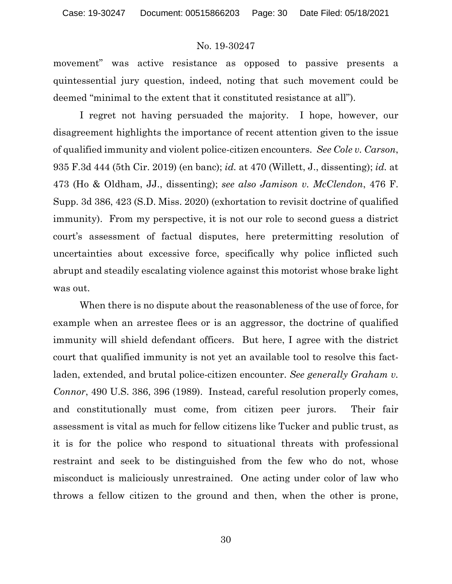movement" was active resistance as opposed to passive presents a quintessential jury question, indeed, noting that such movement could be deemed "minimal to the extent that it constituted resistance at all").

I regret not having persuaded the majority. I hope, however, our disagreement highlights the importance of recent attention given to the issue of qualified immunity and violent police-citizen encounters. *See Cole v. Carson*, 935 F.3d 444 (5th Cir. 2019) (en banc); *id.* at 470 (Willett, J., dissenting); *id.* at 473 (Ho & Oldham, JJ., dissenting); *see also Jamison v. McClendon*, 476 F. Supp. 3d 386, 423 (S.D. Miss. 2020) (exhortation to revisit doctrine of qualified immunity). From my perspective, it is not our role to second guess a district court's assessment of factual disputes, here pretermitting resolution of uncertainties about excessive force, specifically why police inflicted such abrupt and steadily escalating violence against this motorist whose brake light was out.

When there is no dispute about the reasonableness of the use of force, for example when an arrestee flees or is an aggressor, the doctrine of qualified immunity will shield defendant officers. But here, I agree with the district court that qualified immunity is not yet an available tool to resolve this factladen, extended, and brutal police-citizen encounter. *See generally Graham v. Connor*, 490 U.S. 386, 396 (1989). Instead, careful resolution properly comes, and constitutionally must come, from citizen peer jurors. Their fair assessment is vital as much for fellow citizens like Tucker and public trust, as it is for the police who respond to situational threats with professional restraint and seek to be distinguished from the few who do not, whose misconduct is maliciously unrestrained. One acting under color of law who throws a fellow citizen to the ground and then, when the other is prone,

30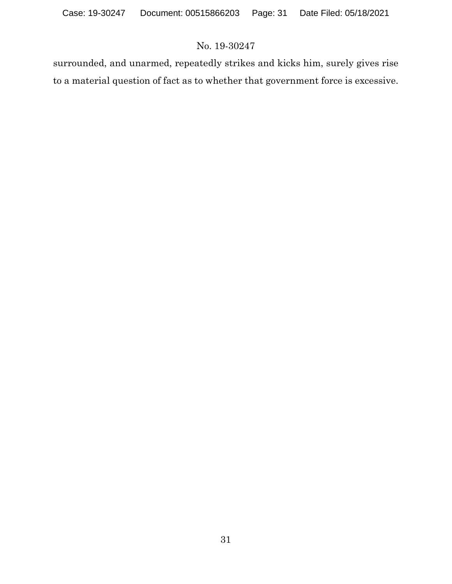surrounded, and unarmed, repeatedly strikes and kicks him, surely gives rise to a material question of fact as to whether that government force is excessive.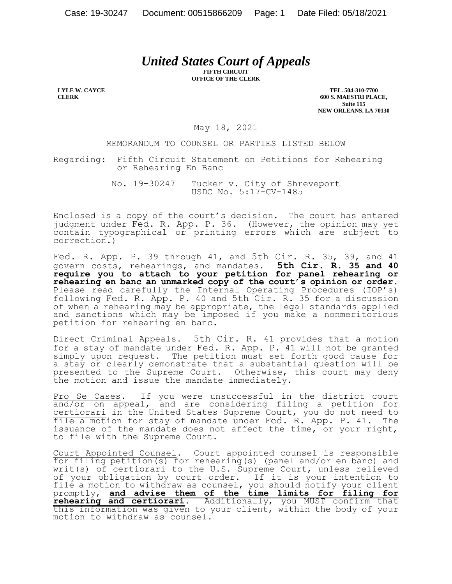# *United States Court of Appeals*

**FIFTH CIRCUIT OFFICE OF THE CLERK**

**LYLE W. CAYCE CLERK**

**TEL. 504-310-7700 600 S. MAESTRI PLACE, Suite 115 NEW ORLEANS, LA 70130**

May 18, 2021

MEMORANDUM TO COUNSEL OR PARTIES LISTED BELOW

Regarding: Fifth Circuit Statement on Petitions for Rehearing or Rehearing En Banc

> No. 19-30247 Tucker v. City of Shreveport USDC No. 5:17-CV-1485

Enclosed is a copy of the court's decision. The court has entered judgment under Fed. R. App. P. 36. (However, the opinion may yet contain typographical or printing errors which are subject to correction.)

Fed. R. App. P. 39 through 41, and 5th Cir. R. 35, 39, and 41 govern costs, rehearings, and mandates. **5th Cir. R. 35 and 40 require you to attach to your petition for panel rehearing or rehearing en banc an unmarked copy of the court's opinion or order.** Please read carefully the Internal Operating Procedures (IOP's) following Fed. R. App. P. 40 and 5th Cir. R. 35 for a discussion of when a rehearing may be appropriate, the legal standards applied and sanctions which may be imposed if you make a nonmeritorious petition for rehearing en banc.

Direct Criminal Appeals. 5th Cir. R. 41 provides that a motion for a stay of mandate under Fed. R. App. P. 41 will not be granted simply upon request. The petition must set forth good cause for a stay or clearly demonstrate that a substantial question will be presented to the Supreme Court. Otherwise, this court may deny the motion and issue the mandate immediately.

Pro Se Cases. If you were unsuccessful in the district court and/or on appeal, and are considering filing a petition for certiorari in the United States Supreme Court, you do not need to file a motion for stay of mandate under Fed. R. App. P. 41. The issuance of the mandate does not affect the time, or your right, to file with the Supreme Court.

Court Appointed Counsel. Court appointed counsel is responsible for filing petition(s) for rehearing(s) (panel and/or en banc) and writ(s) of certiorari to the U.S. Supreme Court, unless relieved of your obligation by court order. If it is your intention to file a motion to withdraw as counsel, you should notify your client promptly, **and advise them of the time limits for filing for rehearing and certiorari**. Additionally, you MUST confirm that this information was given to your client, within the body of your motion to withdraw as counsel.